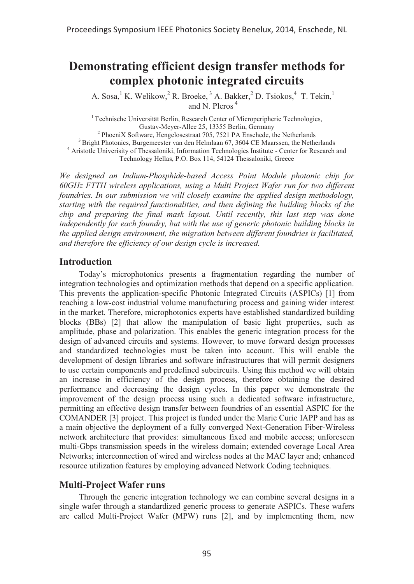# **Demonstrating efficient design transfer methods for complex photonic integrated circuits**

A. Sosa,<sup>1</sup> K. Welikow,<sup>2</sup> R. Broeke,<sup>3</sup> A. Bakker,<sup>2</sup> D. Tsiokos,<sup>4</sup> T. Tekin,<sup>1</sup> and N. Pleros<sup> $4$ </sup>

<sup>1</sup> Technische Universität Berlin, Research Center of Microperipheric Technologies, Gustav-Meyer-Allee 25, 13355 Berlin, Germany

 $^2$  PhoeniX Software, Hengelosestraat 705, 7521 PA Enschede, the Netherlands  $3$  Bright Photonics, Burgemeester van den Helmlaan 67, 3604 CE Maarssen, the Netherlands <sup>4</sup> Aristotle Univerisity of Thessaloniki, Information Technologies Institute - Center for Research and Technology Hellas, P.O. Box 114, 54124 Thessaloniki, Greece

*We designed an Indium-Phosphide-based Access Point Module photonic chip for 60GHz FTTH wireless applications, using a Multi Project Wafer run for two different foundries. In our submission we will closely examine the applied design methodology, starting with the required functionalities, and then defining the building blocks of the chip and preparing the final mask layout. Until recently, this last step was done independently for each foundry, but with the use of generic photonic building blocks in the applied design environment, the migration between different foundries is facilitated, and therefore the efficiency of our design cycle is increased.* 

#### **Introduction**

Today's microphotonics presents a fragmentation regarding the number of integration technologies and optimization methods that depend on a specific application. This prevents the application-specific Photonic Integrated Circuits (ASPICs) [1] from reaching a low-cost industrial volume manufacturing process and gaining wider interest in the market. Therefore, microphotonics experts have established standardized building blocks (BBs) [2] that allow the manipulation of basic light properties, such as amplitude, phase and polarization. This enables the generic integration process for the design of advanced circuits and systems. However, to move forward design processes and standardized technologies must be taken into account. This will enable the development of design libraries and software infrastructures that will permit designers to use certain components and predefined subcircuits. Using this method we will obtain an increase in efficiency of the design process, therefore obtaining the desired performance and decreasing the design cycles. In this paper we demonstrate the improvement of the design process using such a dedicated software infrastructure, permitting an effective design transfer between foundries of an essential ASPIC for the COMANDER [3] project. This project is funded under the Marie Curie IAPP and has as a main objective the deployment of a fully converged Next-Generation Fiber-Wireless network architecture that provides: simultaneous fixed and mobile access; unforeseen multi-Gbps transmission speeds in the wireless domain; extended coverage Local Area Networks; interconnection of wired and wireless nodes at the MAC layer and; enhanced resource utilization features by employing advanced Network Coding techniques.

#### **Multi-Project Wafer runs**

Through the generic integration technology we can combine several designs in a single wafer through a standardized generic process to generate ASPICs. These wafers are called Multi-Project Wafer (MPW) runs [2], and by implementing them, new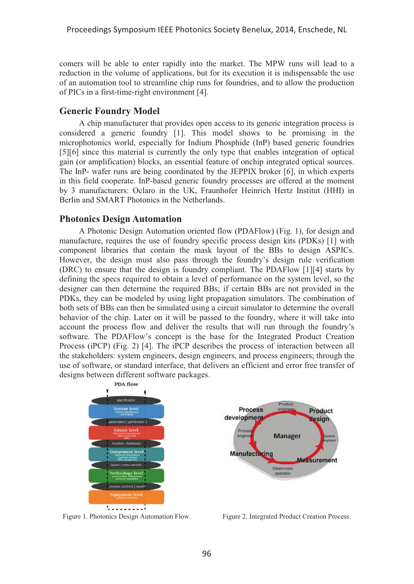comers will be able to enter rapidly into the market. The MPW runs will lead to a reduction in the volume of applications, but for its execution it is indispensable the use of an automation tool to streamline chip runs for foundries, and to allow the production of PICs in a first-time-right environment [4].

## **Generic Foundry Model**

A chip manufacturer that provides open access to its generic integration process is considered a generic foundry [1]. This model shows to be promising in the microphotonics world, especially for Indium Phosphide (InP) based generic foundries [5][6] since this material is currently the only type that enables integration of optical gain (or amplification) blocks, an essential feature of onchip integrated optical sources. The InP- wafer runs are being coordinated by the JEPPIX broker [6], in which experts in this field cooperate. InP-based generic foundry processes are offered at the moment by 3 manufacturers: Oclaro in the UK, Fraunhofer Heinrich Hertz Institut (HHI) in Berlin and SMART Photonics in the Netherlands.

### **Photonics Design Automation**

A Photonic Design Automation oriented flow (PDAFlow) (Fig. 1), for design and manufacture, requires the use of foundry specific process design kits (PDKs) [1] with component libraries that contain the mask layout of the BBs to design ASPICs. However, the design must also pass through the foundry's design rule verification (DRC) to ensure that the design is foundry compliant. The PDAFlow [1][4] starts by defining the specs required to obtain a level of performance on the system level, so the designer can then determine the required BBs; if certain BBs are not provided in the PDKs, they can be modeled by using light propagation simulators. The combination of both sets of BBs can then be simulated using a circuit simulator to determine the overall behavior of the chip. Later on it will be passed to the foundry, where it will take into account the process flow and deliver the results that will run through the foundry's software. The PDAFlow's concept is the base for the Integrated Product Creation Process (iPCP) (Fig. 2) [4]. The iPCP describes the process of interaction between all the stakeholders: system engineers, design engineers, and process engineers; through the use of software, or standard interface, that delivers an efficient and error free transfer of designs between different software packages.





Figure 1. Photonics Design Automation Flow. Figure 2. Integrated Product Creation Process.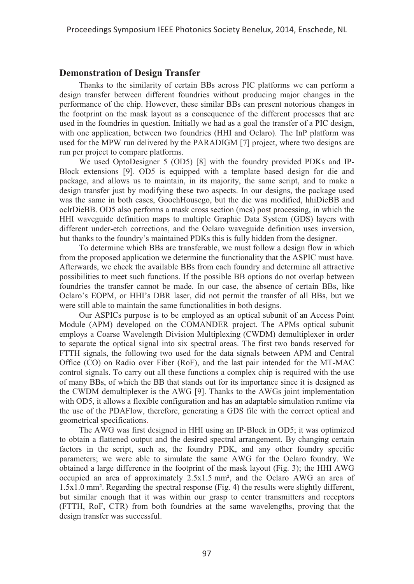## **Demonstration of Design Transfer**

Thanks to the similarity of certain BBs across PIC platforms we can perform a design transfer between different foundries without producing major changes in the performance of the chip. However, these similar BBs can present notorious changes in the footprint on the mask layout as a consequence of the different processes that are used in the foundries in question. Initially we had as a goal the transfer of a PIC design, with one application, between two foundries (HHI and Oclaro). The InP platform was used for the MPW run delivered by the PARADIGM [7] project, where two designs are run per project to compare platforms.

We used OptoDesigner 5 (OD5) [8] with the foundry provided PDKs and IP-Block extensions [9]. OD5 is equipped with a template based design for die and package, and allows us to maintain, in its majority, the same script, and to make a design transfer just by modifying these two aspects. In our designs, the package used was the same in both cases, GoochHousego, but the die was modified, hhiDieBB and oclrDieBB. OD5 also performs a mask cross section (mcs) post processing, in which the HHI waveguide definition maps to multiple Graphic Data System (GDS) layers with different under-etch corrections, and the Oclaro waveguide definition uses inversion, but thanks to the foundry's maintained PDKs this is fully hidden from the designer.

To determine which BBs are transferable, we must follow a design flow in which from the proposed application we determine the functionality that the ASPIC must have. Afterwards, we check the available BBs from each foundry and determine all attractive possibilities to meet such functions. If the possible BB options do not overlap between foundries the transfer cannot be made. In our case, the absence of certain BBs, like Oclaro's EOPM, or HHI's DBR laser, did not permit the transfer of all BBs, but we were still able to maintain the same functionalities in both designs.

Our ASPICs purpose is to be employed as an optical subunit of an Access Point Module (APM) developed on the COMANDER project. The APMs optical subunit employs a Coarse Wavelength Division Multiplexing (CWDM) demultiplexer in order to separate the optical signal into six spectral areas. The first two bands reserved for FTTH signals, the following two used for the data signals between APM and Central Office (CO) on Radio over Fiber (RoF), and the last pair intended for the MT-MAC control signals. To carry out all these functions a complex chip is required with the use of many BBs, of which the BB that stands out for its importance since it is designed as the CWDM demultiplexer is the AWG [9]. Thanks to the AWGs joint implementation with OD5, it allows a flexible configuration and has an adaptable simulation runtime via the use of the PDAFlow, therefore, generating a GDS file with the correct optical and geometrical specifications.

The AWG was first designed in HHI using an IP-Block in OD5; it was optimized to obtain a flattened output and the desired spectral arrangement. By changing certain factors in the script, such as, the foundry PDK, and any other foundry specific parameters; we were able to simulate the same AWG for the Oclaro foundry. We obtained a large difference in the footprint of the mask layout (Fig. 3); the HHI AWG occupied an area of approximately 2.5x1.5 mm², and the Oclaro AWG an area of 1.5x1.0 mm². Regarding the spectral response (Fig. 4) the results were slightly different, but similar enough that it was within our grasp to center transmitters and receptors (FTTH, RoF, CTR) from both foundries at the same wavelengths, proving that the design transfer was successful.